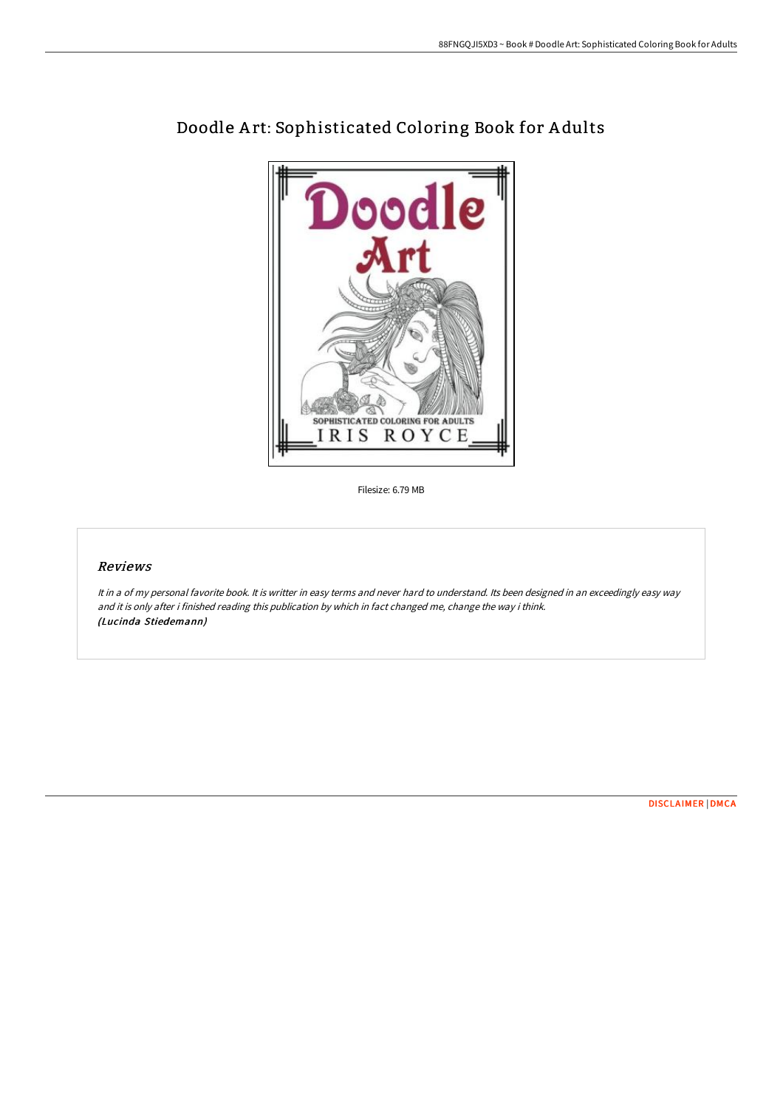

# Doodle A rt: Sophisticated Coloring Book for A dults

Filesize: 6.79 MB

## Reviews

It in <sup>a</sup> of my personal favorite book. It is writter in easy terms and never hard to understand. Its been designed in an exceedingly easy way and it is only after i finished reading this publication by which in fact changed me, change the way i think. (Lucinda Stiedemann)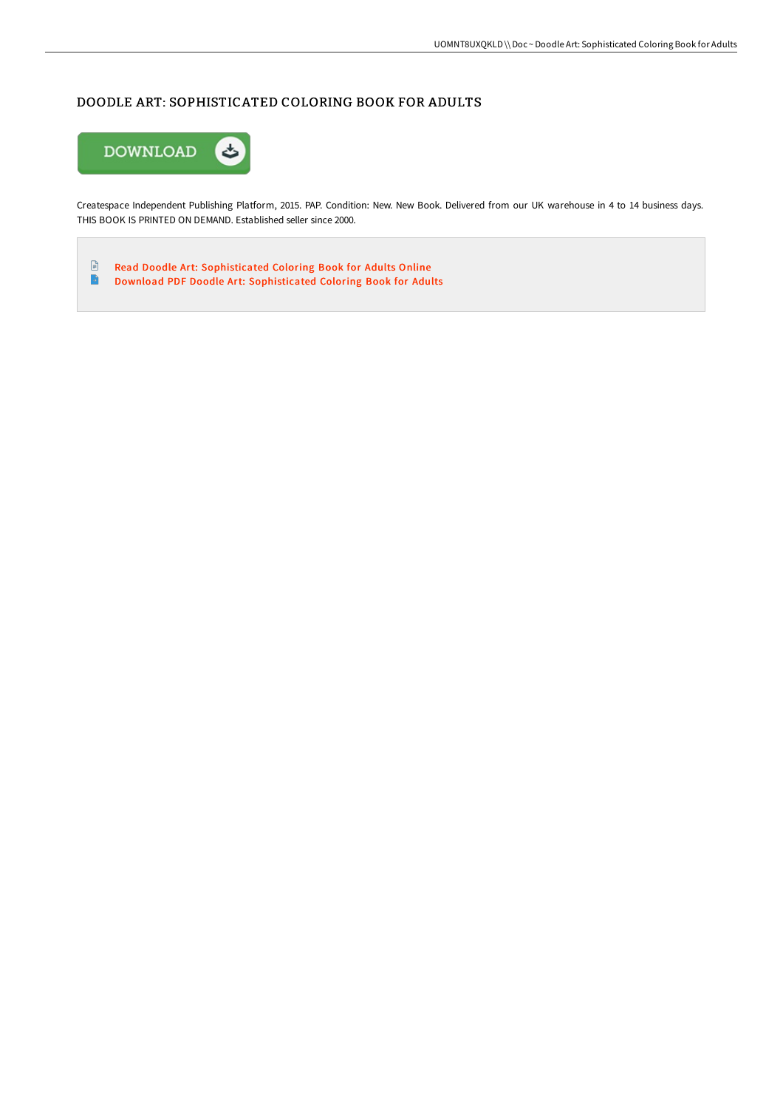# DOODLE ART: SOPHISTICATED COLORING BOOK FOR ADULTS



Createspace Independent Publishing Platform, 2015. PAP. Condition: New. New Book. Delivered from our UK warehouse in 4 to 14 business days. THIS BOOK IS PRINTED ON DEMAND. Established seller since 2000.

 $\ensuremath{\boxdot}$ Read Doodle Art: [Sophisticated](http://albedo.media/doodle-art-sophisticated-coloring-book-for-adult.html) Coloring Book for Adults Online  $\blacksquare$ Download PDF Doodle Art: [Sophisticated](http://albedo.media/doodle-art-sophisticated-coloring-book-for-adult.html) Coloring Book for Adults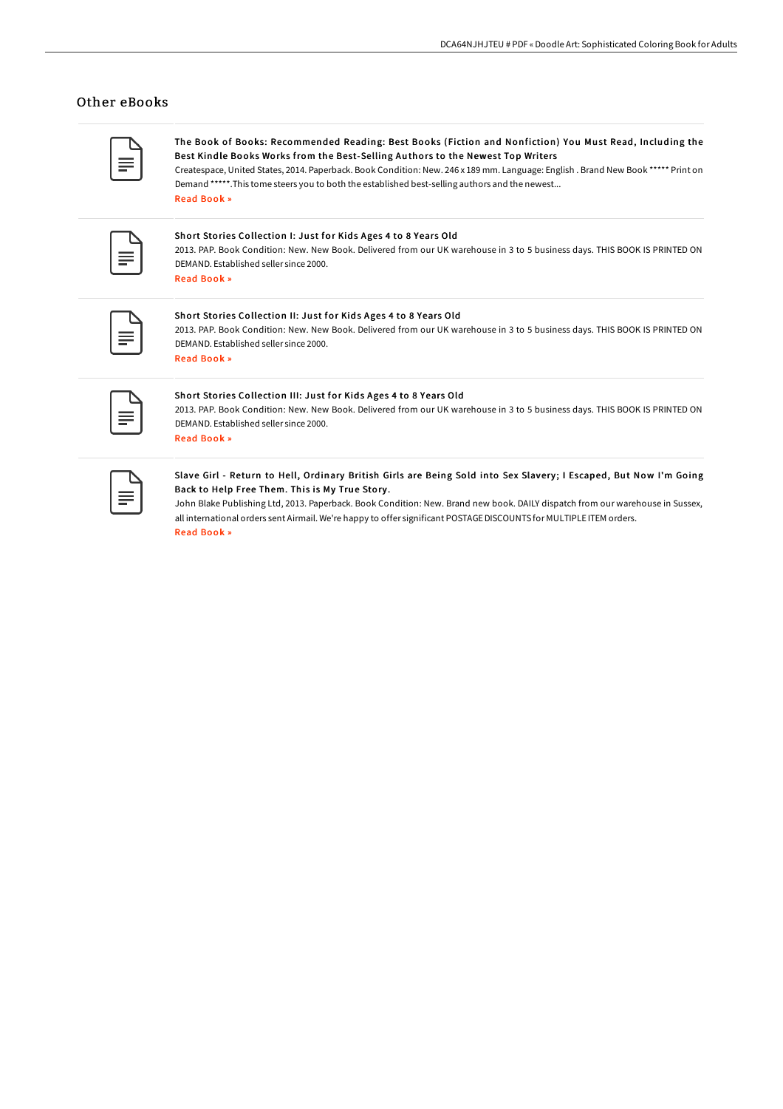### Other eBooks

The Book of Books: Recommended Reading: Best Books (Fiction and Nonfiction) You Must Read, Including the Best Kindle Books Works from the Best-Selling Authors to the Newest Top Writers

Createspace, United States, 2014. Paperback. Book Condition: New. 246 x 189 mm. Language: English . Brand New Book \*\*\*\*\* Print on Demand \*\*\*\*\*.This tome steers you to both the established best-selling authors and the newest... Read [Book](http://albedo.media/the-book-of-books-recommended-reading-best-books.html) »

#### Short Stories Collection I: Just for Kids Ages 4 to 8 Years Old

2013. PAP. Book Condition: New. New Book. Delivered from our UK warehouse in 3 to 5 business days. THIS BOOK IS PRINTED ON DEMAND. Established seller since 2000. Read [Book](http://albedo.media/short-stories-collection-i-just-for-kids-ages-4-.html) »

#### Short Stories Collection II: Just for Kids Ages 4 to 8 Years Old

2013. PAP. Book Condition: New. New Book. Delivered from our UK warehouse in 3 to 5 business days. THIS BOOK IS PRINTED ON DEMAND. Established seller since 2000. Read [Book](http://albedo.media/short-stories-collection-ii-just-for-kids-ages-4.html) »

#### Short Stories Collection III: Just for Kids Ages 4 to 8 Years Old

2013. PAP. Book Condition: New. New Book. Delivered from our UK warehouse in 3 to 5 business days. THIS BOOK IS PRINTED ON DEMAND. Established seller since 2000. Read [Book](http://albedo.media/short-stories-collection-iii-just-for-kids-ages-.html) »

#### Slave Girl - Return to Hell, Ordinary British Girls are Being Sold into Sex Slavery ; I Escaped, But Now I'm Going Back to Help Free Them. This is My True Story .

John Blake Publishing Ltd, 2013. Paperback. Book Condition: New. Brand new book. DAILY dispatch from our warehouse in Sussex, all international orders sent Airmail. We're happy to offer significant POSTAGEDISCOUNTS for MULTIPLE ITEM orders. Read [Book](http://albedo.media/slave-girl-return-to-hell-ordinary-british-girls.html) »